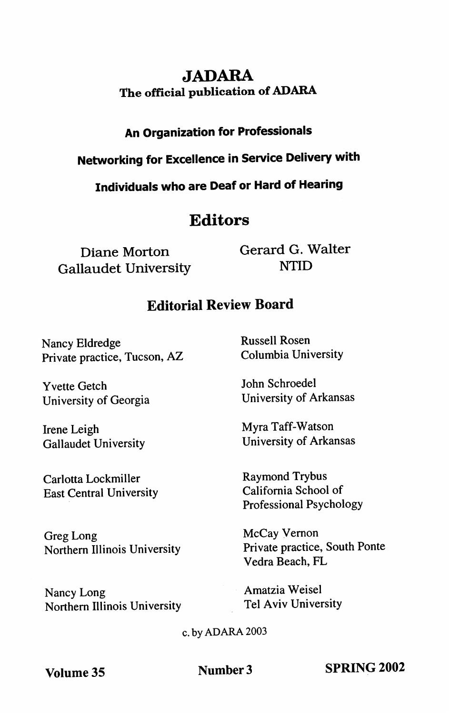# JADARA The official publication of ADARA

## An Organization for Professionals

Networking for Excellence in Service Delivery with

Individuals who are Deaf or Hard of Hearing

# Editors

Diane Morton Gallaudet University Gerard G. Walter NTID

# Editorial Review Board

Nancy Eldredge Private practice, Tucson, AZ

Yvette Getch University of Georgia

Irene Leigh Gallaudet University

Carlotta Lockmiller East Central University

Greg Long Northern Illinois University

Nancy Long Northern Illinois University Russell Rosen Columbia University

John Schroedel University of Arkansas

Myra Taff-Watson University of Arkansas

Raymond Trybus California School of Professional Psychology

McCay Vemon Private practice. South Ponte Vedra Beach, PL

Amatzia Weisel Tel Aviv University

c. by ADARA 2003

Volume 35 Number 3 SPRING 2002